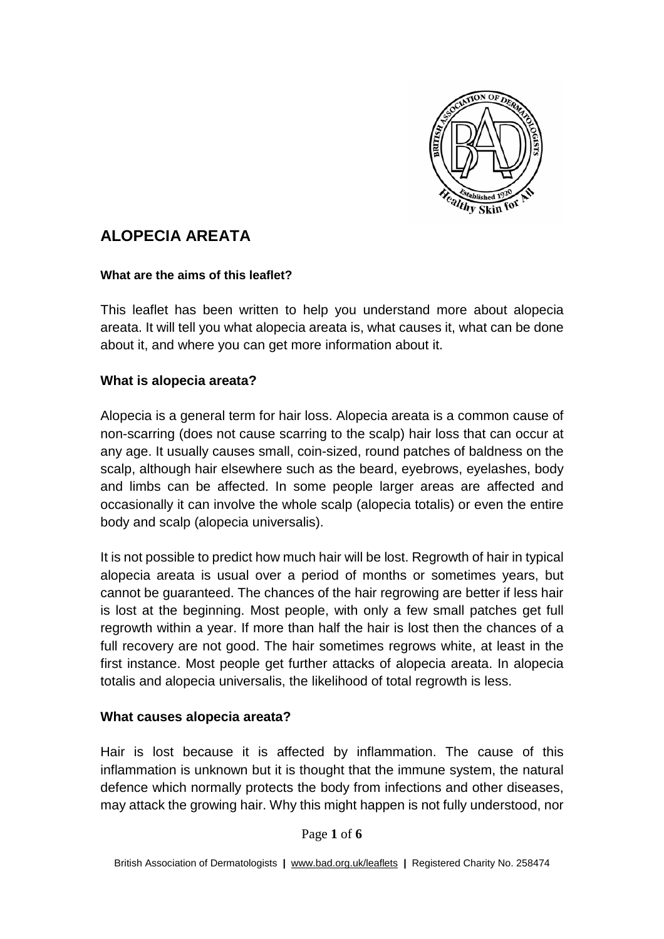

# **ALOPECIA AREATA**

#### **What are the aims of this leaflet?**

This leaflet has been written to help you understand more about alopecia areata. It will tell you what alopecia areata is, what causes it, what can be done about it, and where you can get more information about it.

#### **What is alopecia areata?**

Alopecia is a general term for hair loss. Alopecia areata is a common cause of non-scarring (does not cause scarring to the scalp) hair loss that can occur at any age. It usually causes small, coin-sized, round patches of baldness on the scalp, although hair elsewhere such as the beard, eyebrows, eyelashes, body and limbs can be affected. In some people larger areas are affected and occasionally it can involve the whole scalp (alopecia totalis) or even the entire body and scalp (alopecia universalis).

It is not possible to predict how much hair will be lost. Regrowth of hair in typical alopecia areata is usual over a period of months or sometimes years, but cannot be guaranteed. The chances of the hair regrowing are better if less hair is lost at the beginning. Most people, with only a few small patches get full regrowth within a year. If more than half the hair is lost then the chances of a full recovery are not good. The hair sometimes regrows white, at least in the first instance. Most people get further attacks of alopecia areata. In alopecia totalis and alopecia universalis, the likelihood of total regrowth is less.

#### **What causes alopecia areata?**

Hair is lost because it is affected by inflammation. The cause of this inflammation is unknown but it is thought that the immune system, the natural defence which normally protects the body from infections and other diseases, may attack the growing hair. Why this might happen is not fully understood, nor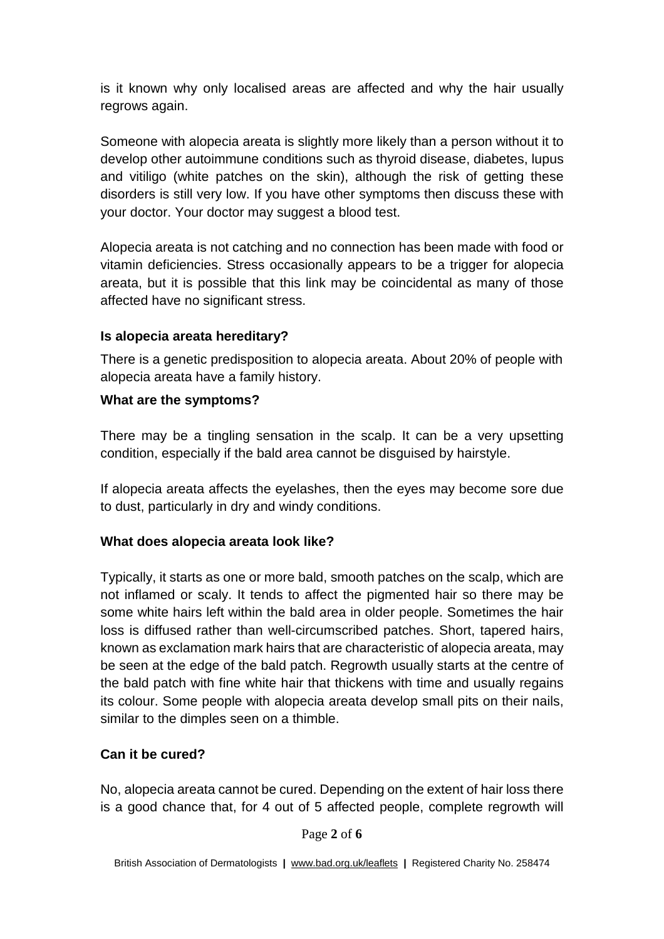is it known why only localised areas are affected and why the hair usually regrows again.

Someone with alopecia areata is slightly more likely than a person without it to develop other autoimmune conditions such as thyroid disease, diabetes, lupus and vitiligo (white patches on the skin), although the risk of getting these disorders is still very low. If you have other symptoms then discuss these with your doctor. Your doctor may suggest a blood test.

Alopecia areata is not catching and no connection has been made with food or vitamin deficiencies. Stress occasionally appears to be a trigger for alopecia areata, but it is possible that this link may be coincidental as many of those affected have no significant stress.

#### **Is alopecia areata hereditary?**

There is a genetic predisposition to alopecia areata. About 20% of people with alopecia areata have a family history.

## **What are the symptoms?**

There may be a tingling sensation in the scalp. It can be a very upsetting condition, especially if the bald area cannot be disguised by hairstyle.

If alopecia areata affects the eyelashes, then the eyes may become sore due to dust, particularly in dry and windy conditions.

# **What does alopecia areata look like?**

Typically, it starts as one or more bald, smooth patches on the scalp, which are not inflamed or scaly. It tends to affect the pigmented hair so there may be some white hairs left within the bald area in older people. Sometimes the hair loss is diffused rather than well-circumscribed patches. Short, tapered hairs, known as exclamation mark hairs that are characteristic of alopecia areata, may be seen at the edge of the bald patch. Regrowth usually starts at the centre of the bald patch with fine white hair that thickens with time and usually regains its colour. Some people with alopecia areata develop small pits on their nails, similar to the dimples seen on a thimble.

#### **Can it be cured?**

No, alopecia areata cannot be cured. Depending on the extent of hair loss there is a good chance that, for 4 out of 5 affected people, complete regrowth will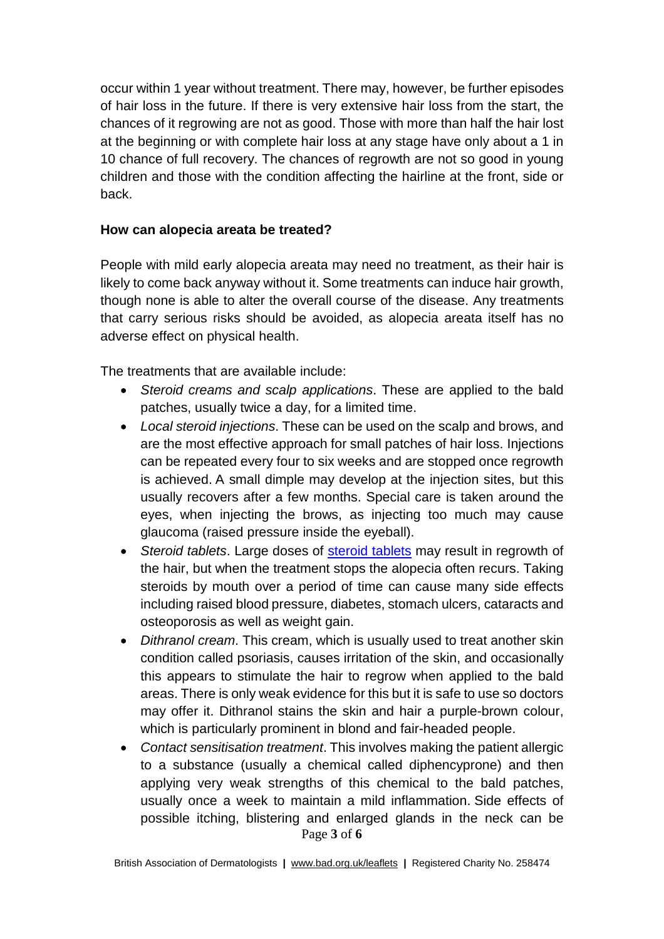occur within 1 year without treatment. There may, however, be further episodes of hair loss in the future. If there is very extensive hair loss from the start, the chances of it regrowing are not as good. Those with more than half the hair lost at the beginning or with complete hair loss at any stage have only about a 1 in 10 chance of full recovery. The chances of regrowth are not so good in young children and those with the condition affecting the hairline at the front, side or back.

#### **How can alopecia areata be treated?**

People with mild early alopecia areata may need no treatment, as their hair is likely to come back anyway without it. Some treatments can induce hair growth, though none is able to alter the overall course of the disease. Any treatments that carry serious risks should be avoided, as alopecia areata itself has no adverse effect on physical health.

The treatments that are available include:

- *Steroid creams and scalp applications*. These are applied to the bald patches, usually twice a day, for a limited time.
- *Local steroid injections*. These can be used on the scalp and brows, and are the most effective approach for small patches of hair loss. Injections can be repeated every four to six weeks and are stopped once regrowth is achieved. A small dimple may develop at the injection sites, but this usually recovers after a few months. Special care is taken around the eyes, when injecting the brows, as injecting too much may cause glaucoma (raised pressure inside the eyeball).
- *Steroid tablets*. Large doses of [steroid](http://www.bad.org.uk/for-the-public/patient-information-leaflets/oral-treatment-with-corticosteroids) tablets may result in regrowth of the hair, but when the treatment stops the alopecia often recurs. Taking steroids by mouth over a period of time can cause many side effects including raised blood pressure, diabetes, stomach ulcers, cataracts and osteoporosis as well as weight gain.
- *Dithranol cream*. This cream, which is usually used to treat another skin condition called psoriasis, causes irritation of the skin, and occasionally this appears to stimulate the hair to regrow when applied to the bald areas. There is only weak evidence for this but it is safe to use so doctors may offer it. Dithranol stains the skin and hair a purple-brown colour, which is particularly prominent in blond and fair-headed people.
- Page **3** of **6** • *Contact sensitisation treatment*. This involves making the patient allergic to a substance (usually a chemical called diphencyprone) and then applying very weak strengths of this chemical to the bald patches, usually once a week to maintain a mild inflammation. Side effects of possible itching, blistering and enlarged glands in the neck can be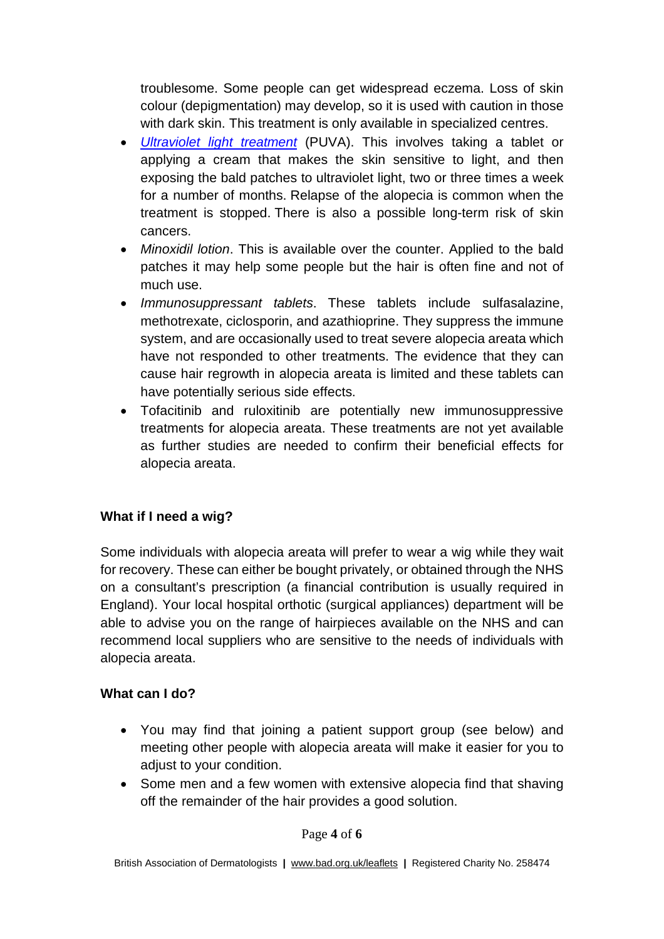troublesome. Some people can get widespread eczema. Loss of skin colour (depigmentation) may develop, so it is used with caution in those with dark skin. This treatment is only available in specialized centres.

- *[Ultraviolet](http://www.bad.org.uk/for-the-public/patient-information-leaflets/phototherapy) light treatment* (PUVA). This involves taking a tablet or applying a cream that makes the skin sensitive to light, and then exposing the bald patches to ultraviolet light, two or three times a week for a number of months. Relapse of the alopecia is common when the treatment is stopped. There is also a possible long-term risk of skin cancers.
- *Minoxidil lotion*. This is available over the counter. Applied to the bald patches it may help some people but the hair is often fine and not of much use.
- *Immunosuppressant tablets*. These tablets include sulfasalazine, methotrexate, ciclosporin, and azathioprine. They suppress the immune system, and are occasionally used to treat severe alopecia areata which have not responded to other treatments. The evidence that they can cause hair regrowth in alopecia areata is limited and these tablets can have potentially serious side effects.
- Tofacitinib and ruloxitinib are potentially new immunosuppressive treatments for alopecia areata. These treatments are not yet available as further studies are needed to confirm their beneficial effects for alopecia areata.

# **What if I need a wig?**

Some individuals with alopecia areata will prefer to wear a wig while they wait for recovery. These can either be bought privately, or obtained through the NHS on a consultant's prescription (a financial contribution is usually required in England). Your local hospital orthotic (surgical appliances) department will be able to advise you on the range of hairpieces available on the NHS and can recommend local suppliers who are sensitive to the needs of individuals with alopecia areata.

#### **What can I do?**

- You may find that joining a patient support group (see below) and meeting other people with alopecia areata will make it easier for you to adjust to your condition.
- Some men and a few women with extensive alopecia find that shaving off the remainder of the hair provides a good solution.

#### Page **4** of **6**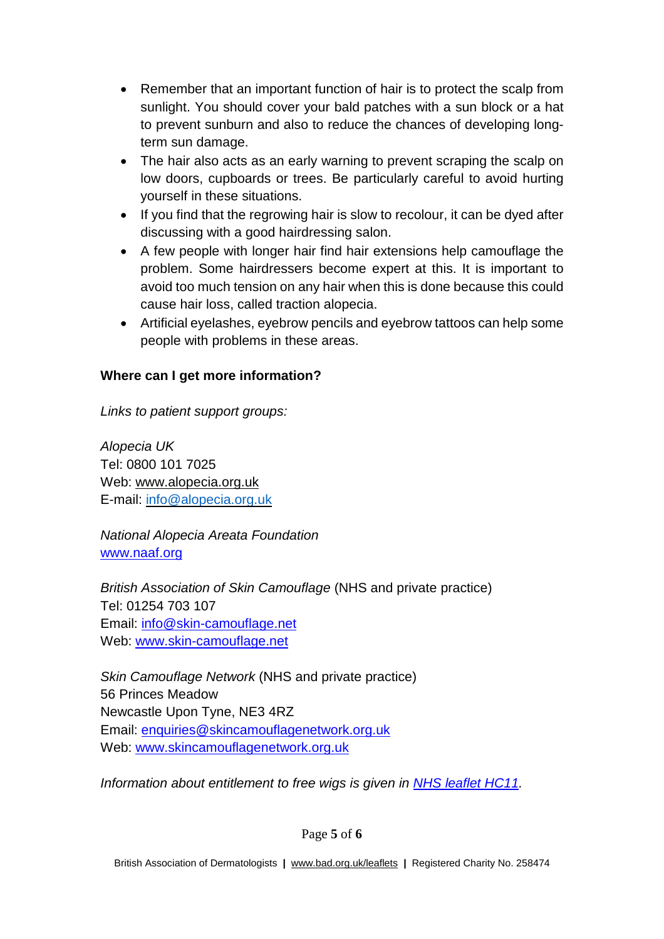- Remember that an important function of hair is to protect the scalp from sunlight. You should cover your bald patches with a sun block or a hat to prevent sunburn and also to reduce the chances of developing longterm sun damage.
- The hair also acts as an early warning to prevent scraping the scalp on low doors, cupboards or trees. Be particularly careful to avoid hurting yourself in these situations.
- If you find that the regrowing hair is slow to recolour, it can be dyed after discussing with a good hairdressing salon.
- A few people with longer hair find hair extensions help camouflage the problem. Some hairdressers become expert at this. It is important to avoid too much tension on any hair when this is done because this could cause hair loss, called traction alopecia.
- Artificial eyelashes, eyebrow pencils and eyebrow tattoos can help some people with problems in these areas.

## **Where can I get more information?**

*Links to patient support groups:*

*Alopecia UK* Tel: 0800 101 7025 Web: [www.alopecia.org.uk](http://www.alopecia.org.uk/) E-mail: [info@alopecia.org.uk](mailto:info@alopecia.org.uk)

*National Alopecia Areata Foundation* [www.naaf.org](http://www.naaf.org/) 

*British Association of Skin Camouflage* (NHS and private practice) Tel: 01254 703 107 Email: [info@skin-camouflage.net](mailto:info@skin-camouflage.net) Web: [www.skin-camouflage.net](http://www.skin-camouflage.net/)

*Skin Camouflage Network* (NHS and private practice) 56 Princes Meadow Newcastle Upon Tyne, NE3 4RZ Email: [enquiries@skincamouflagenetwork.org.uk](mailto:enquiries@skincamouflagenetwork.org.uk) Web: [www.skincamouflagenetwork.org.uk](http://www.skincamouflagenetwork.org.uk/)

*Information about entitlement to free wigs is given in NHS leaflet [HC11.](http://www.nhs.uk/NHSEngland/Healthcosts/Documents/2012/HC11-oct12-approved.pdf)*

Page **5** of **6**